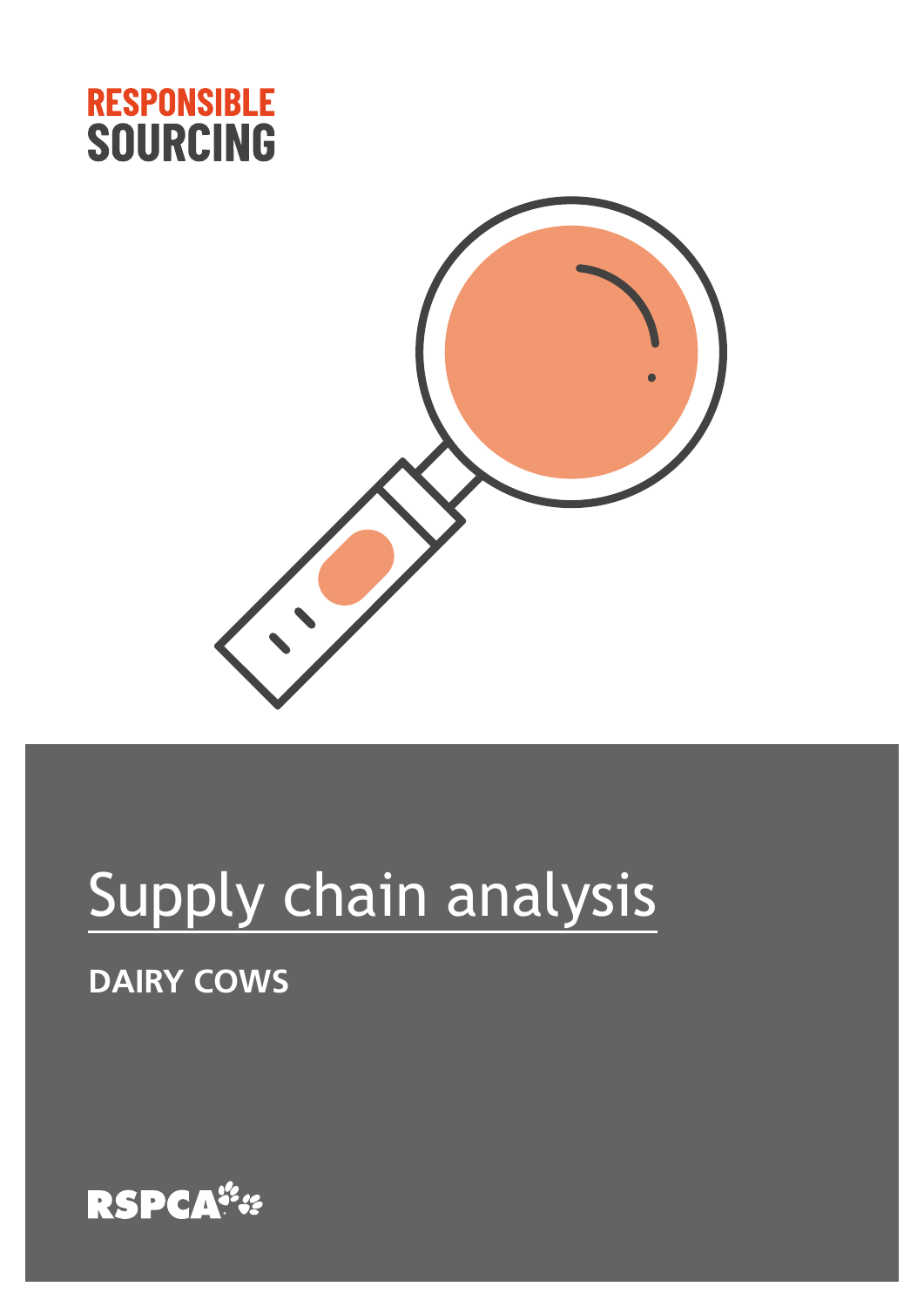



# Supply chain analysis

## **DAIRY COWS**

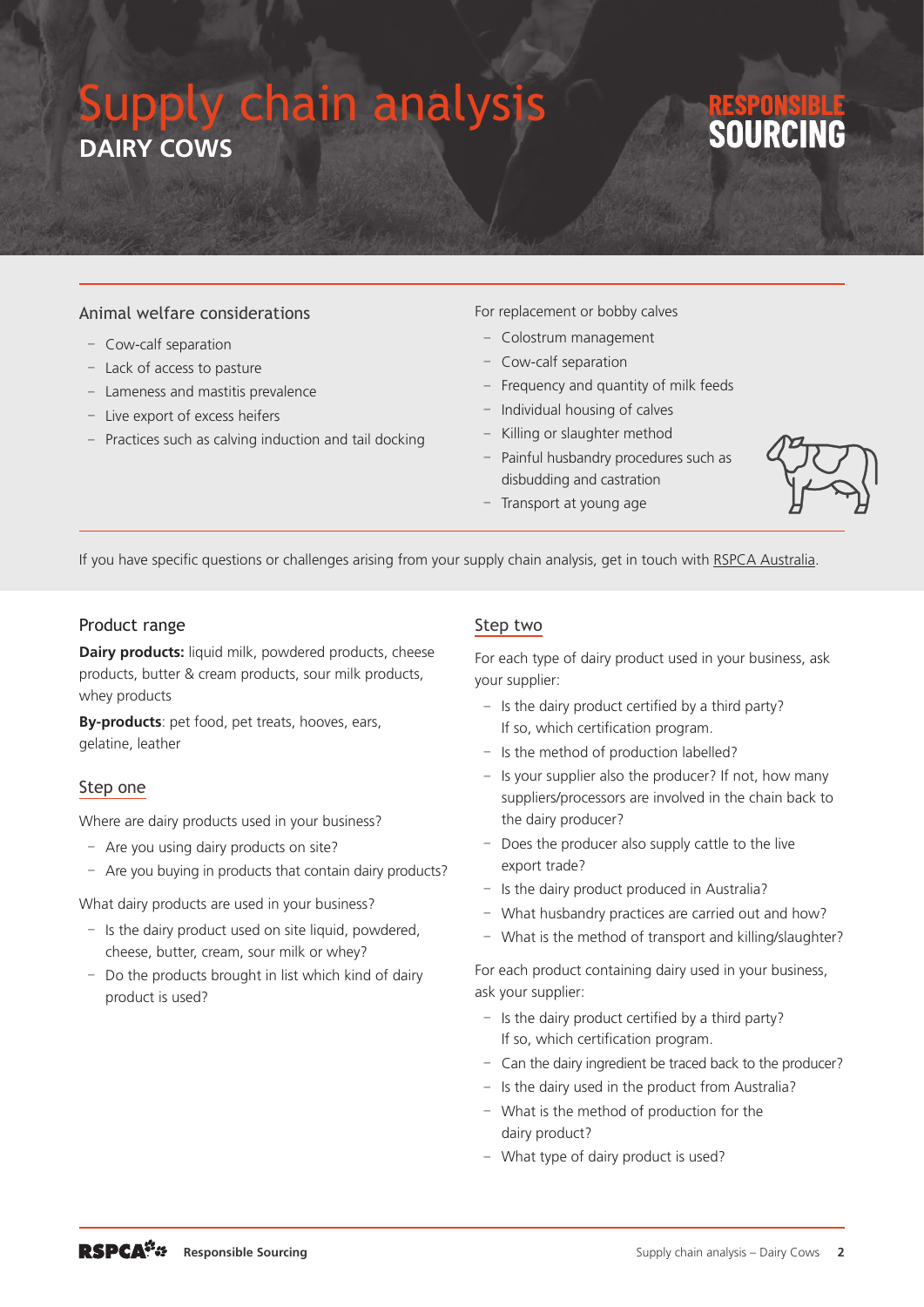## Supply chain analy **DAIRY COWS**

#### Animal welfare considerations

- Cow-calf separation
- Lack of access to pasture
- Lameness and mastitis prevalence
- Live export of excess heifers
- Practices such as calving induction and tail docking

For replacement or bobby calves

- Colostrum management
- Cow-calf separation
- Frequency and quantity of milk feeds
- Individual housing of calves
- Killing or slaughter method
- Painful husbandry procedures such as disbudding and castration
- Transport at young age



If you have specific questions or challenges arising from your supply chain analysis, get in touch with [RSPCA Australia](mailto:responsiblesourcing@rspca.org.au).

#### Product range

**Dairy products:** liquid milk, powdered products, cheese products, butter & cream products, sour milk products, whey products

**By-products**: pet food, pet treats, hooves, ears, gelatine, leather

#### Step one

Where are dairy products used in your business?

- Are you using dairy products on site?
- Are you buying in products that contain dairy products?

What dairy products are used in your business?

- $-$  Is the dairy product used on site liquid, powdered, cheese, butter, cream, sour milk or whey?
- Do the products brought in list which kind of dairy product is used?

#### Step two

For each type of dairy product used in your business, ask your supplier:

- Is the dairy product certified by a third party? If so, which certification program.
- Is the method of production labelled?
- Is your supplier also the producer? If not, how many suppliers/processors are involved in the chain back to the dairy producer?
- Does the producer also supply cattle to the live export trade?
- Is the dairy product produced in Australia?
- What husbandry practices are carried out and how?
- What is the method of transport and killing/slaughter?

For each product containing dairy used in your business, ask your supplier:

- Is the dairy product certified by a third party? If so, which certification program.
- Can the dairy ingredient be traced back to the producer?
- Is the dairy used in the product from Australia?
- What is the method of production for the dairy product?
- What type of dairy product is used?